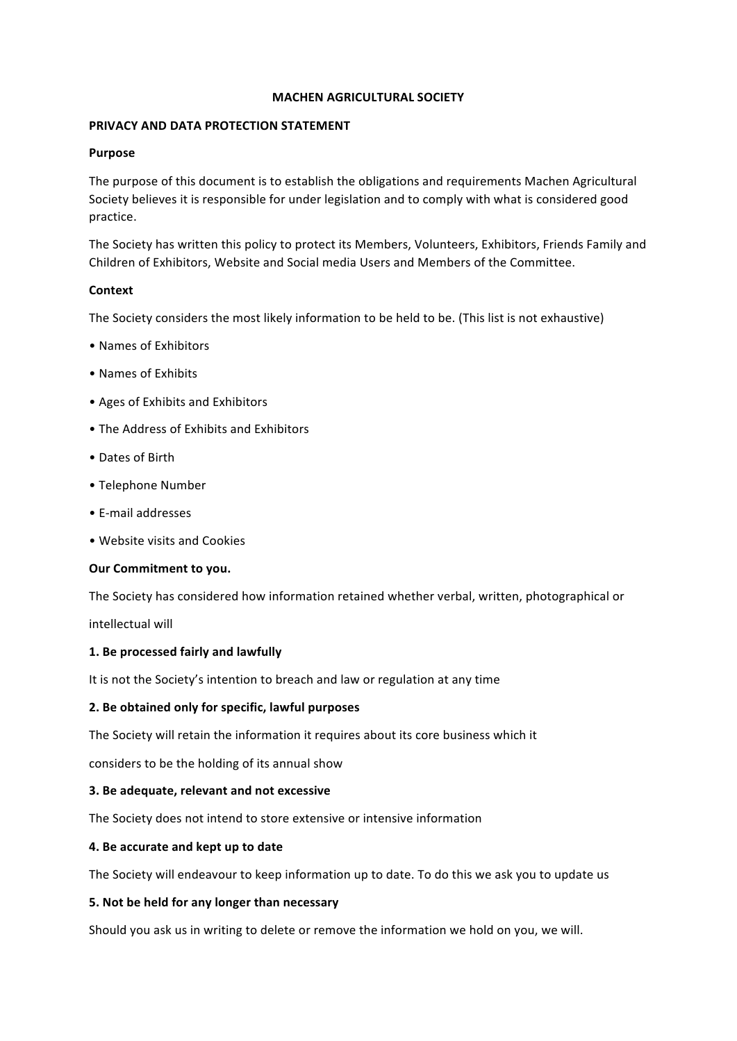#### **MACHEN AGRICULTURAL SOCIETY**

# **PRIVACY AND DATA PROTECTION STATEMENT**

# **Purpose**

The purpose of this document is to establish the obligations and requirements Machen Agricultural Society believes it is responsible for under legislation and to comply with what is considered good practice. 

The Society has written this policy to protect its Members, Volunteers, Exhibitors, Friends Family and Children of Exhibitors, Website and Social media Users and Members of the Committee.

# **Context**

The Society considers the most likely information to be held to be. (This list is not exhaustive)

- • Names of Exhibitors
- • Names of Exhibits
- Ages of Exhibits and Exhibitors
- The Address of Exhibits and Exhibitors
- • Dates of Birth
- Telephone Number
- • E-mail addresses
- Website visits and Cookies

# **Our Commitment to you.**

The Society has considered how information retained whether verbal, written, photographical or

intellectual will

# **1. Be processed fairly and lawfully**

It is not the Society's intention to breach and law or regulation at any time

# **2. Be obtained only for specific, lawful purposes**

The Society will retain the information it requires about its core business which it

considers to be the holding of its annual show

# **3. Be adequate, relevant and not excessive**

The Society does not intend to store extensive or intensive information

# **4. Be accurate and kept up to date**

The Society will endeavour to keep information up to date. To do this we ask you to update us

# **5. Not be held for any longer than necessary**

Should you ask us in writing to delete or remove the information we hold on you, we will.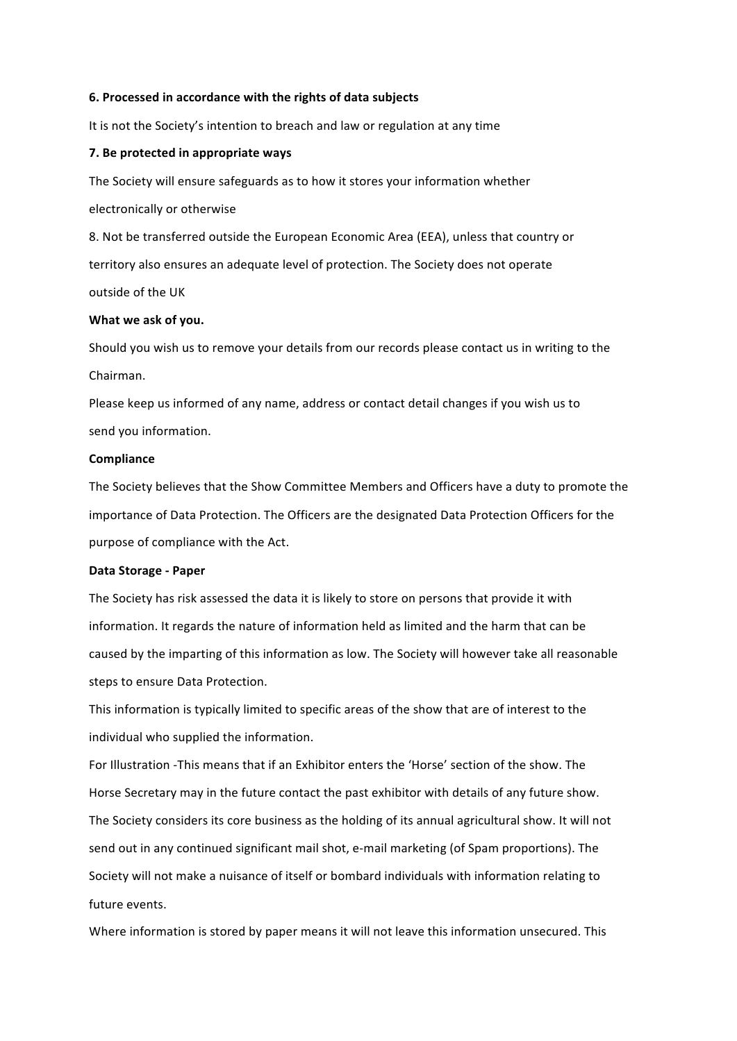#### **6. Processed in accordance with the rights of data subjects**

It is not the Society's intention to breach and law or regulation at any time

#### **7.** Be protected in appropriate ways

The Society will ensure safeguards as to how it stores your information whether electronically or otherwise

8. Not be transferred outside the European Economic Area (EEA), unless that country or territory also ensures an adequate level of protection. The Society does not operate outside of the UK

#### What we ask of you.

Should you wish us to remove your details from our records please contact us in writing to the Chairman.

Please keep us informed of any name, address or contact detail changes if you wish us to send you information.

#### **Compliance**

The Society believes that the Show Committee Members and Officers have a duty to promote the importance of Data Protection. The Officers are the designated Data Protection Officers for the purpose of compliance with the Act.

#### **Data Storage - Paper**

The Society has risk assessed the data it is likely to store on persons that provide it with information. It regards the nature of information held as limited and the harm that can be caused by the imparting of this information as low. The Society will however take all reasonable steps to ensure Data Protection.

This information is typically limited to specific areas of the show that are of interest to the individual who supplied the information.

For Illustration -This means that if an Exhibitor enters the 'Horse' section of the show. The Horse Secretary may in the future contact the past exhibitor with details of any future show. The Society considers its core business as the holding of its annual agricultural show. It will not send out in any continued significant mail shot, e-mail marketing (of Spam proportions). The Society will not make a nuisance of itself or bombard individuals with information relating to future events.

Where information is stored by paper means it will not leave this information unsecured. This